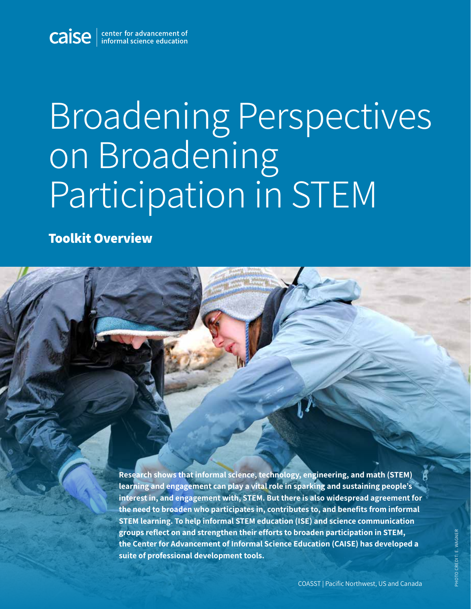

## Broadening Perspectives on Broadening Participation in STEM

**Toolkit Overview**

**Research shows that informal science, technology, engineering, and math (STEM) learning and engagement can play a vital role in sparking and sustaining people's interest in, and engagement with, STEM. But there is also widespread agreement for the need to broaden who participates in, contributes to, and benefits from informal STEM learning. To help informal STEM education (ISE) and science communication groups reflect on and strengthen their efforts to broaden participation in STEM, the Center for Advancement of Informal Science Education (CAISE) has developed a suite of professional development tools.**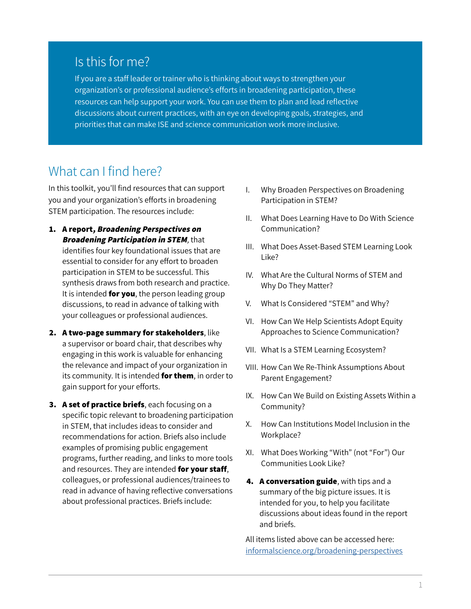## Is this for me?

If you are a staff leader or trainer who is thinking about ways to strengthen your organization's or professional audience's efforts in broadening participation, these resources can help support your work. You can use them to plan and lead reflective discussions about current practices, with an eye on developing goals, strategies, and priorities that can make ISE and science communication work more inclusive.

## What can I find here?

In this toolkit, you'll find resources that can support you and your organization's efforts in broadening STEM participation. The resources include:

- **1. A report, Broadening Perspectives on Broadening Participation in STEM**, that identifies four key foundational issues that are essential to consider for any effort to broaden participation in STEM to be successful. This synthesis draws from both research and practice. It is intended **for you**, the person leading group discussions, to read in advance of talking with your colleagues or professional audiences.
- **2. A two-page summary for stakeholders**, like a supervisor or board chair, that describes why engaging in this work is valuable for enhancing the relevance and impact of your organization in its community. It is intended **for them**, in order to gain support for your efforts.
- **3. A set of practice briefs**, each focusing on a specific topic relevant to broadening participation in STEM, that includes ideas to consider and recommendations for action. Briefs also include examples of promising public engagement programs, further reading, and links to more tools and resources. They are intended **for your staff**, colleagues, or professional audiences/trainees to read in advance of having reflective conversations about professional practices. Briefs include:
- I. Why Broaden Perspectives on Broadening Participation in STEM?
- II. What Does Learning Have to Do With Science Communication?
- III. What Does Asset-Based STEM Learning Look Like?
- IV. What Are the Cultural Norms of STEM and Why Do They Matter?
- V. What Is Considered "STEM" and Why?
- VI. How Can We Help Scientists Adopt Equity Approaches to Science Communication?
- VII. What Is a STEM Learning Ecosystem?
- VIII. How Can We Re-Think Assumptions About Parent Engagement?
- IX. How Can We Build on Existing Assets Within a Community?
- X. How Can Institutions Model Inclusion in the Workplace?
- XI. What Does Working "With" (not "For") Our Communities Look Like?
- **4. A conversation guide**, with tips and a summary of the big picture issues. It is intended for you, to help you facilitate discussions about ideas found in the report and briefs.

All items listed above can be accessed here: [informalscience.org/broadening-perspectives](http://informalscience.org/broadening-perspectives)